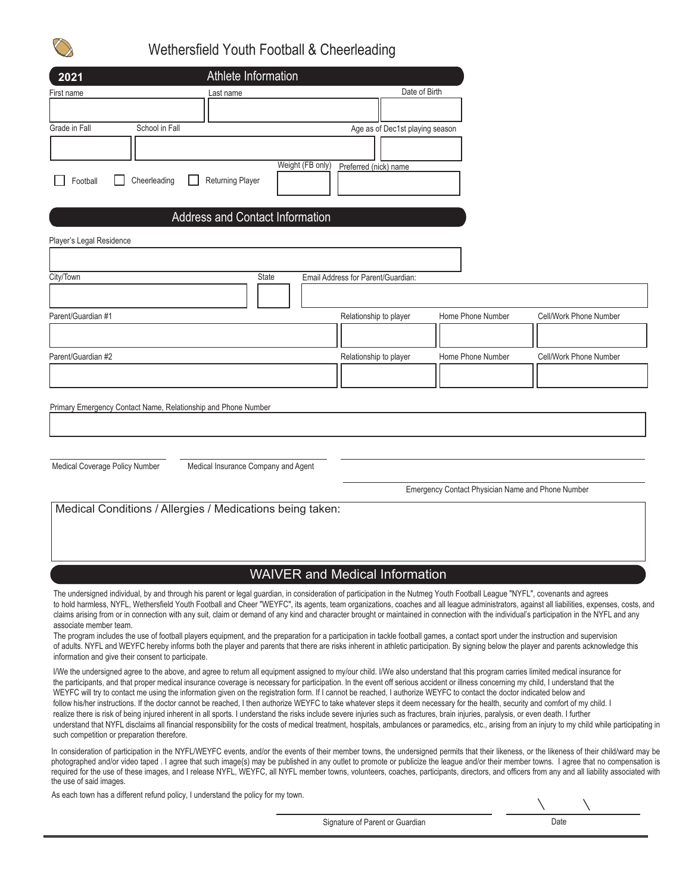

## Wethersfield Youth Football & Cheerleading

| 2021                                       |                                                                                                                                                                                                                                                                                                                                                                                                                                                                                                                                                                                                                                                                                                                                                                                                                                                                                                                                  | Athlete Information                         |                                    |                                 |                                                   |                                                                                                                                                                                                                                                                                                                                                                                          |
|--------------------------------------------|----------------------------------------------------------------------------------------------------------------------------------------------------------------------------------------------------------------------------------------------------------------------------------------------------------------------------------------------------------------------------------------------------------------------------------------------------------------------------------------------------------------------------------------------------------------------------------------------------------------------------------------------------------------------------------------------------------------------------------------------------------------------------------------------------------------------------------------------------------------------------------------------------------------------------------|---------------------------------------------|------------------------------------|---------------------------------|---------------------------------------------------|------------------------------------------------------------------------------------------------------------------------------------------------------------------------------------------------------------------------------------------------------------------------------------------------------------------------------------------------------------------------------------------|
| First name                                 | Last name                                                                                                                                                                                                                                                                                                                                                                                                                                                                                                                                                                                                                                                                                                                                                                                                                                                                                                                        |                                             |                                    | Date of Birth                   |                                                   |                                                                                                                                                                                                                                                                                                                                                                                          |
|                                            |                                                                                                                                                                                                                                                                                                                                                                                                                                                                                                                                                                                                                                                                                                                                                                                                                                                                                                                                  |                                             |                                    |                                 |                                                   |                                                                                                                                                                                                                                                                                                                                                                                          |
| Grade in Fall                              | School in Fall                                                                                                                                                                                                                                                                                                                                                                                                                                                                                                                                                                                                                                                                                                                                                                                                                                                                                                                   |                                             |                                    | Age as of Dec1st playing season |                                                   |                                                                                                                                                                                                                                                                                                                                                                                          |
|                                            |                                                                                                                                                                                                                                                                                                                                                                                                                                                                                                                                                                                                                                                                                                                                                                                                                                                                                                                                  |                                             |                                    |                                 |                                                   |                                                                                                                                                                                                                                                                                                                                                                                          |
| Football                                   | Cheerleading                                                                                                                                                                                                                                                                                                                                                                                                                                                                                                                                                                                                                                                                                                                                                                                                                                                                                                                     | Weight (FB only)<br><b>Returning Player</b> | Preferred (nick) name              |                                 |                                                   |                                                                                                                                                                                                                                                                                                                                                                                          |
|                                            |                                                                                                                                                                                                                                                                                                                                                                                                                                                                                                                                                                                                                                                                                                                                                                                                                                                                                                                                  |                                             |                                    |                                 |                                                   |                                                                                                                                                                                                                                                                                                                                                                                          |
|                                            |                                                                                                                                                                                                                                                                                                                                                                                                                                                                                                                                                                                                                                                                                                                                                                                                                                                                                                                                  | <b>Address and Contact Information</b>      |                                    |                                 |                                                   |                                                                                                                                                                                                                                                                                                                                                                                          |
| Player's Legal Residence                   |                                                                                                                                                                                                                                                                                                                                                                                                                                                                                                                                                                                                                                                                                                                                                                                                                                                                                                                                  |                                             |                                    |                                 |                                                   |                                                                                                                                                                                                                                                                                                                                                                                          |
|                                            |                                                                                                                                                                                                                                                                                                                                                                                                                                                                                                                                                                                                                                                                                                                                                                                                                                                                                                                                  |                                             |                                    |                                 |                                                   |                                                                                                                                                                                                                                                                                                                                                                                          |
| City/Town                                  |                                                                                                                                                                                                                                                                                                                                                                                                                                                                                                                                                                                                                                                                                                                                                                                                                                                                                                                                  | <b>State</b>                                | Email Address for Parent/Guardian: |                                 |                                                   |                                                                                                                                                                                                                                                                                                                                                                                          |
|                                            |                                                                                                                                                                                                                                                                                                                                                                                                                                                                                                                                                                                                                                                                                                                                                                                                                                                                                                                                  |                                             |                                    |                                 |                                                   |                                                                                                                                                                                                                                                                                                                                                                                          |
| Parent/Guardian #1                         |                                                                                                                                                                                                                                                                                                                                                                                                                                                                                                                                                                                                                                                                                                                                                                                                                                                                                                                                  |                                             | Relationship to player             |                                 | Home Phone Number                                 | Cell/Work Phone Number                                                                                                                                                                                                                                                                                                                                                                   |
|                                            |                                                                                                                                                                                                                                                                                                                                                                                                                                                                                                                                                                                                                                                                                                                                                                                                                                                                                                                                  |                                             |                                    |                                 |                                                   |                                                                                                                                                                                                                                                                                                                                                                                          |
| Parent/Guardian #2                         |                                                                                                                                                                                                                                                                                                                                                                                                                                                                                                                                                                                                                                                                                                                                                                                                                                                                                                                                  |                                             | Relationship to player             |                                 | Home Phone Number                                 | Cell/Work Phone Number                                                                                                                                                                                                                                                                                                                                                                   |
|                                            |                                                                                                                                                                                                                                                                                                                                                                                                                                                                                                                                                                                                                                                                                                                                                                                                                                                                                                                                  |                                             |                                    |                                 |                                                   |                                                                                                                                                                                                                                                                                                                                                                                          |
|                                            |                                                                                                                                                                                                                                                                                                                                                                                                                                                                                                                                                                                                                                                                                                                                                                                                                                                                                                                                  |                                             |                                    |                                 |                                                   |                                                                                                                                                                                                                                                                                                                                                                                          |
|                                            | Primary Emergency Contact Name, Relationship and Phone Number                                                                                                                                                                                                                                                                                                                                                                                                                                                                                                                                                                                                                                                                                                                                                                                                                                                                    |                                             |                                    |                                 |                                                   |                                                                                                                                                                                                                                                                                                                                                                                          |
|                                            |                                                                                                                                                                                                                                                                                                                                                                                                                                                                                                                                                                                                                                                                                                                                                                                                                                                                                                                                  |                                             |                                    |                                 |                                                   |                                                                                                                                                                                                                                                                                                                                                                                          |
|                                            |                                                                                                                                                                                                                                                                                                                                                                                                                                                                                                                                                                                                                                                                                                                                                                                                                                                                                                                                  |                                             |                                    |                                 |                                                   |                                                                                                                                                                                                                                                                                                                                                                                          |
| Medical Coverage Policy Number             |                                                                                                                                                                                                                                                                                                                                                                                                                                                                                                                                                                                                                                                                                                                                                                                                                                                                                                                                  | Medical Insurance Company and Agent         |                                    |                                 |                                                   |                                                                                                                                                                                                                                                                                                                                                                                          |
|                                            |                                                                                                                                                                                                                                                                                                                                                                                                                                                                                                                                                                                                                                                                                                                                                                                                                                                                                                                                  |                                             |                                    |                                 | Emergency Contact Physician Name and Phone Number |                                                                                                                                                                                                                                                                                                                                                                                          |
|                                            | Medical Conditions / Allergies / Medications being taken:                                                                                                                                                                                                                                                                                                                                                                                                                                                                                                                                                                                                                                                                                                                                                                                                                                                                        |                                             |                                    |                                 |                                                   |                                                                                                                                                                                                                                                                                                                                                                                          |
|                                            |                                                                                                                                                                                                                                                                                                                                                                                                                                                                                                                                                                                                                                                                                                                                                                                                                                                                                                                                  |                                             |                                    |                                 |                                                   |                                                                                                                                                                                                                                                                                                                                                                                          |
|                                            |                                                                                                                                                                                                                                                                                                                                                                                                                                                                                                                                                                                                                                                                                                                                                                                                                                                                                                                                  |                                             |                                    |                                 |                                                   |                                                                                                                                                                                                                                                                                                                                                                                          |
|                                            |                                                                                                                                                                                                                                                                                                                                                                                                                                                                                                                                                                                                                                                                                                                                                                                                                                                                                                                                  | <b>WAIVER and Medical Information</b>       |                                    |                                 |                                                   |                                                                                                                                                                                                                                                                                                                                                                                          |
|                                            | The undersigned individual, by and through his parent or legal guardian, in consideration of participation in the Nutmeg Youth Football League "NYFL", covenants and agrees                                                                                                                                                                                                                                                                                                                                                                                                                                                                                                                                                                                                                                                                                                                                                      |                                             |                                    |                                 |                                                   |                                                                                                                                                                                                                                                                                                                                                                                          |
| associate member team.                     |                                                                                                                                                                                                                                                                                                                                                                                                                                                                                                                                                                                                                                                                                                                                                                                                                                                                                                                                  |                                             |                                    |                                 |                                                   | to hold harmless, NYFL, Wethersfield Youth Football and Cheer "WEYFC", its agents, team organizations, coaches and all league administrators, against all liabilities, expenses, costs, and<br>claims arising from or in connection with any suit, claim or demand of any kind and character brought or maintained in connection with the individual's participation in the NYFL and any |
|                                            | The program includes the use of football players equipment, and the preparation for a participation in tackle football games, a contact sport under the instruction and supervision<br>information and give their consent to participate.                                                                                                                                                                                                                                                                                                                                                                                                                                                                                                                                                                                                                                                                                        |                                             |                                    |                                 |                                                   | of adults. NYFL and WEYFC hereby informs both the player and parents that there are risks inherent in athletic participation. By signing below the player and parents acknowledge this                                                                                                                                                                                                   |
| such competition or preparation therefore. | I/We the undersigned agree to the above, and agree to return all equipment assigned to my/our child. I/We also understand that this program carries limited medical insurance for<br>the participants, and that proper medical insurance coverage is necessary for participation. In the event off serious accident or illness concerning my child, I understand that the<br>WEYFC will try to contact me using the information given on the registration form. If I cannot be reached, I authorize WEYFC to contact the doctor indicated below and<br>follow his/her instructions. If the doctor cannot be reached, I then authorize WEYFC to take whatever steps it deem necessary for the health, security and comfort of my child. I<br>realize there is risk of being injured inherent in all sports. I understand the risks include severe injuries such as fractures, brain injuries, paralysis, or even death. I further |                                             |                                    |                                 |                                                   | understand that NYFL disclaims all financial responsibility for the costs of medical treatment, hospitals, ambulances or paramedics, etc., arising from an injury to my child while participating in                                                                                                                                                                                     |

In consideration of participation in the NYFL/WEYFC events, and/or the events of their member towns, the undersigned permits that their likeness, or the likeness of their child/ward may be photographed and/or video taped . I agree that such image(s) may be published in any outlet to promote or publicize the league and/or their member towns. I agree that no compensation is required for the use of these images, and I release NYFL, WEYFC, all NYFL member towns, volunteers, coaches, participants, directors, and officers from any and all liability associated with the use of said images.

As each town has a different refund policy, I understand the policy for my town.

Signature of Parent or Guardian Date Date

 $\setminus$